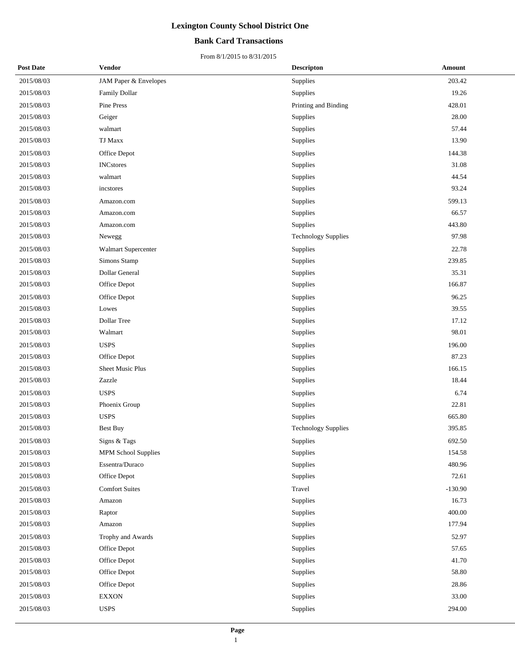### **Bank Card Transactions**

| <b>Post Date</b> | Vendor                | <b>Descripton</b>          | Amount    |  |
|------------------|-----------------------|----------------------------|-----------|--|
| 2015/08/03       | JAM Paper & Envelopes | Supplies                   | 203.42    |  |
| 2015/08/03       | Family Dollar         | Supplies                   | 19.26     |  |
| 2015/08/03       | Pine Press            | Printing and Binding       | 428.01    |  |
| 2015/08/03       | Geiger                | <b>Supplies</b>            | 28.00     |  |
| 2015/08/03       | walmart               | Supplies                   | 57.44     |  |
| 2015/08/03       | <b>TJ Maxx</b>        | Supplies                   | 13.90     |  |
| 2015/08/03       | Office Depot          | Supplies                   | 144.38    |  |
| 2015/08/03       | <b>INCstores</b>      | <b>Supplies</b>            | 31.08     |  |
| 2015/08/03       | walmart               | Supplies                   | 44.54     |  |
| 2015/08/03       | incstores             | Supplies                   | 93.24     |  |
| 2015/08/03       | Amazon.com            | Supplies                   | 599.13    |  |
| 2015/08/03       | Amazon.com            | Supplies                   | 66.57     |  |
| 2015/08/03       | Amazon.com            | Supplies                   | 443.80    |  |
| 2015/08/03       | Newegg                | <b>Technology Supplies</b> | 97.98     |  |
| 2015/08/03       | Walmart Supercenter   | Supplies                   | 22.78     |  |
| 2015/08/03       | Simons Stamp          | <b>Supplies</b>            | 239.85    |  |
| 2015/08/03       | Dollar General        | Supplies                   | 35.31     |  |
| 2015/08/03       | Office Depot          | Supplies                   | 166.87    |  |
| 2015/08/03       | Office Depot          | Supplies                   | 96.25     |  |
| 2015/08/03       | Lowes                 | Supplies                   | 39.55     |  |
| 2015/08/03       | Dollar Tree           | Supplies                   | 17.12     |  |
| 2015/08/03       | Walmart               | Supplies                   | 98.01     |  |
| 2015/08/03       | <b>USPS</b>           | Supplies                   | 196.00    |  |
| 2015/08/03       | Office Depot          | <b>Supplies</b>            | 87.23     |  |
| 2015/08/03       | Sheet Music Plus      | Supplies                   | 166.15    |  |
| 2015/08/03       | Zazzle                | Supplies                   | 18.44     |  |
| 2015/08/03       | <b>USPS</b>           | Supplies                   | 6.74      |  |
| 2015/08/03       | Phoenix Group         | Supplies                   | 22.81     |  |
| 2015/08/03       | <b>USPS</b>           | Supplies                   | 665.80    |  |
| 2015/08/03       | <b>Best Buy</b>       | <b>Technology Supplies</b> | 395.85    |  |
| 2015/08/03       | Signs & Tags          | Supplies                   | 692.50    |  |
| 2015/08/03       | MPM School Supplies   | <b>Supplies</b>            | 154.58    |  |
| 2015/08/03       | Essentra/Duraco       | Supplies                   | 480.96    |  |
| 2015/08/03       | Office Depot          | Supplies                   | 72.61     |  |
| 2015/08/03       | <b>Comfort Suites</b> | Travel                     | $-130.90$ |  |
| 2015/08/03       | Amazon                | Supplies                   | 16.73     |  |
| 2015/08/03       | Raptor                | Supplies                   | 400.00    |  |
| 2015/08/03       | Amazon                | Supplies                   | 177.94    |  |
| 2015/08/03       | Trophy and Awards     | Supplies                   | 52.97     |  |
| 2015/08/03       | Office Depot          | Supplies                   | 57.65     |  |
| 2015/08/03       | Office Depot          | Supplies                   | 41.70     |  |
| 2015/08/03       | Office Depot          | Supplies                   | 58.80     |  |
| 2015/08/03       | Office Depot          | Supplies                   | 28.86     |  |
| 2015/08/03       | <b>EXXON</b>          | Supplies                   | 33.00     |  |
| 2015/08/03       | <b>USPS</b>           | Supplies                   | 294.00    |  |
|                  |                       |                            |           |  |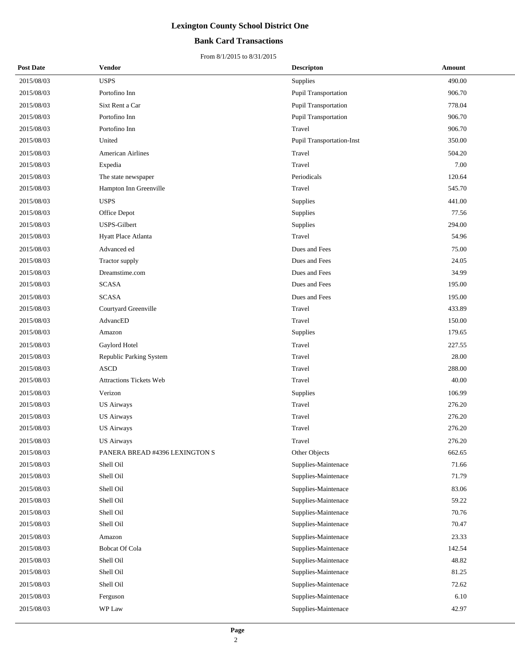### **Bank Card Transactions**

| <b>Post Date</b> | Vendor                         | <b>Descripton</b>                | Amount |
|------------------|--------------------------------|----------------------------------|--------|
| 2015/08/03       | <b>USPS</b>                    | Supplies                         | 490.00 |
| 2015/08/03       | Portofino Inn                  | Pupil Transportation             | 906.70 |
| 2015/08/03       | Sixt Rent a Car                | <b>Pupil Transportation</b>      | 778.04 |
| 2015/08/03       | Portofino Inn                  | Pupil Transportation             | 906.70 |
| 2015/08/03       | Portofino Inn                  | Travel                           | 906.70 |
| 2015/08/03       | United                         | <b>Pupil Transportation-Inst</b> | 350.00 |
| 2015/08/03       | <b>American Airlines</b>       | Travel                           | 504.20 |
| 2015/08/03       | Expedia                        | Travel                           | 7.00   |
| 2015/08/03       | The state newspaper            | Periodicals                      | 120.64 |
| 2015/08/03       | Hampton Inn Greenville         | Travel                           | 545.70 |
| 2015/08/03       | <b>USPS</b>                    | Supplies                         | 441.00 |
| 2015/08/03       | Office Depot                   | Supplies                         | 77.56  |
| 2015/08/03       | USPS-Gilbert                   | Supplies                         | 294.00 |
| 2015/08/03       | Hyatt Place Atlanta            | Travel                           | 54.96  |
| 2015/08/03       | Advanced ed                    | Dues and Fees                    | 75.00  |
| 2015/08/03       | Tractor supply                 | Dues and Fees                    | 24.05  |
| 2015/08/03       | Dreamstime.com                 | Dues and Fees                    | 34.99  |
| 2015/08/03       | <b>SCASA</b>                   | Dues and Fees                    | 195.00 |
| 2015/08/03       | <b>SCASA</b>                   | Dues and Fees                    | 195.00 |
| 2015/08/03       | Courtyard Greenville           | Travel                           | 433.89 |
| 2015/08/03       | AdvancED                       | Travel                           | 150.00 |
| 2015/08/03       | Amazon                         | Supplies                         | 179.65 |
| 2015/08/03       | Gaylord Hotel                  | Travel                           | 227.55 |
| 2015/08/03       | Republic Parking System        | Travel                           | 28.00  |
| 2015/08/03       | <b>ASCD</b>                    | Travel                           | 288.00 |
| 2015/08/03       | Attractions Tickets Web        | Travel                           | 40.00  |
| 2015/08/03       | Verizon                        | Supplies                         | 106.99 |
| 2015/08/03       | <b>US Airways</b>              | Travel                           | 276.20 |
| 2015/08/03       | <b>US Airways</b>              | Travel                           | 276.20 |
| 2015/08/03       | <b>US Airways</b>              | Travel                           | 276.20 |
| 2015/08/03       | <b>US Airways</b>              | Travel                           | 276.20 |
| 2015/08/03       | PANERA BREAD #4396 LEXINGTON S | Other Objects                    | 662.65 |
| 2015/08/03       | Shell Oil                      | Supplies-Maintenace              | 71.66  |
| 2015/08/03       | Shell Oil                      | Supplies-Maintenace              | 71.79  |
| 2015/08/03       | Shell Oil                      | Supplies-Maintenace              | 83.06  |
| 2015/08/03       | Shell Oil                      | Supplies-Maintenace              | 59.22  |
| 2015/08/03       | Shell Oil                      | Supplies-Maintenace              | 70.76  |
| 2015/08/03       | Shell Oil                      | Supplies-Maintenace              | 70.47  |
| 2015/08/03       | Amazon                         | Supplies-Maintenace              | 23.33  |
| 2015/08/03       | <b>Bobcat Of Cola</b>          | Supplies-Maintenace              | 142.54 |
| 2015/08/03       | Shell Oil                      | Supplies-Maintenace              | 48.82  |
| 2015/08/03       | Shell Oil                      | Supplies-Maintenace              | 81.25  |
| 2015/08/03       | Shell Oil                      | Supplies-Maintenace              | 72.62  |
| 2015/08/03       | Ferguson                       | Supplies-Maintenace              | 6.10   |
| 2015/08/03       | WP Law                         | Supplies-Maintenace              | 42.97  |
|                  |                                |                                  |        |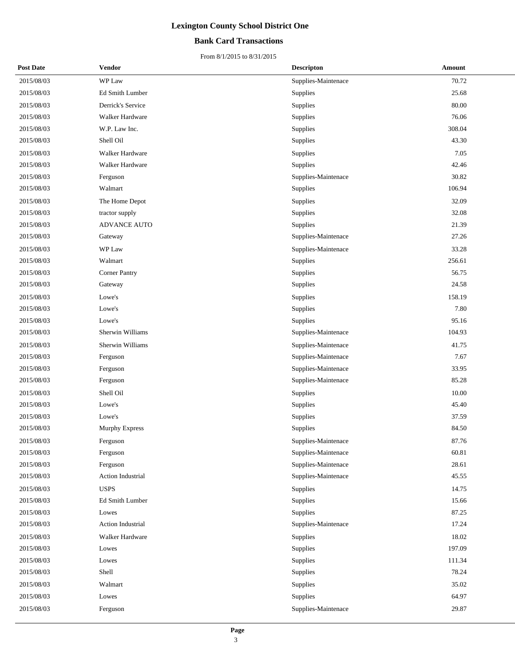### **Bank Card Transactions**

| <b>Post Date</b> | Vendor                | <b>Descripton</b>   | Amount |
|------------------|-----------------------|---------------------|--------|
| 2015/08/03       | WP Law                | Supplies-Maintenace | 70.72  |
| 2015/08/03       | Ed Smith Lumber       | Supplies            | 25.68  |
| 2015/08/03       | Derrick's Service     | Supplies            | 80.00  |
| 2015/08/03       | Walker Hardware       | Supplies            | 76.06  |
| 2015/08/03       | W.P. Law Inc.         | Supplies            | 308.04 |
| 2015/08/03       | Shell Oil             | Supplies            | 43.30  |
| 2015/08/03       | Walker Hardware       | Supplies            | 7.05   |
| 2015/08/03       | Walker Hardware       | Supplies            | 42.46  |
| 2015/08/03       | Ferguson              | Supplies-Maintenace | 30.82  |
| 2015/08/03       | Walmart               | Supplies            | 106.94 |
| 2015/08/03       | The Home Depot        | Supplies            | 32.09  |
| 2015/08/03       | tractor supply        | Supplies            | 32.08  |
| 2015/08/03       | ADVANCE AUTO          | Supplies            | 21.39  |
| 2015/08/03       | Gateway               | Supplies-Maintenace | 27.26  |
| 2015/08/03       | WP Law                | Supplies-Maintenace | 33.28  |
| 2015/08/03       | Walmart               | Supplies            | 256.61 |
| 2015/08/03       | <b>Corner Pantry</b>  | Supplies            | 56.75  |
| 2015/08/03       | Gateway               | Supplies            | 24.58  |
| 2015/08/03       | Lowe's                | Supplies            | 158.19 |
| 2015/08/03       | Lowe's                | Supplies            | 7.80   |
| 2015/08/03       | Lowe's                | Supplies            | 95.16  |
| 2015/08/03       | Sherwin Williams      | Supplies-Maintenace | 104.93 |
| 2015/08/03       | Sherwin Williams      | Supplies-Maintenace | 41.75  |
| 2015/08/03       | Ferguson              | Supplies-Maintenace | 7.67   |
| 2015/08/03       | Ferguson              | Supplies-Maintenace | 33.95  |
| 2015/08/03       | Ferguson              | Supplies-Maintenace | 85.28  |
| 2015/08/03       | Shell Oil             | Supplies            | 10.00  |
| 2015/08/03       | Lowe's                | Supplies            | 45.40  |
| 2015/08/03       | Lowe's                | Supplies            | 37.59  |
| 2015/08/03       | <b>Murphy Express</b> | Supplies            | 84.50  |
| 2015/08/03       | Ferguson              | Supplies-Maintenace | 87.76  |
| 2015/08/03       | Ferguson              | Supplies-Maintenace | 60.81  |
| 2015/08/03       | Ferguson              | Supplies-Maintenace | 28.61  |
| 2015/08/03       | Action Industrial     | Supplies-Maintenace | 45.55  |
| 2015/08/03       | <b>USPS</b>           | Supplies            | 14.75  |
| 2015/08/03       | Ed Smith Lumber       | Supplies            | 15.66  |
| 2015/08/03       | Lowes                 | Supplies            | 87.25  |
| 2015/08/03       | Action Industrial     | Supplies-Maintenace | 17.24  |
| 2015/08/03       | Walker Hardware       | Supplies            | 18.02  |
| 2015/08/03       | Lowes                 | Supplies            | 197.09 |
| 2015/08/03       | Lowes                 | Supplies            | 111.34 |
| 2015/08/03       | Shell                 | Supplies            | 78.24  |
| 2015/08/03       | Walmart               | Supplies            | 35.02  |
| 2015/08/03       | Lowes                 | Supplies            | 64.97  |
| 2015/08/03       | Ferguson              | Supplies-Maintenace | 29.87  |
|                  |                       |                     |        |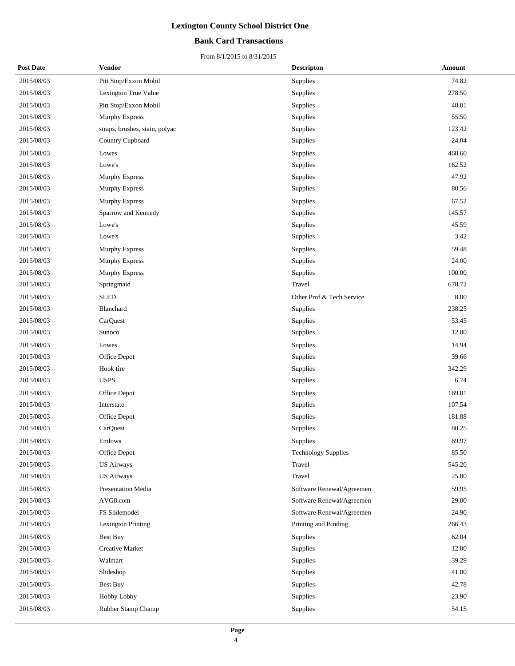### **Bank Card Transactions**

| <b>Post Date</b> | Vendor                         | <b>Descripton</b>          | Amount |
|------------------|--------------------------------|----------------------------|--------|
| 2015/08/03       | Pitt Stop/Exxon Mobil          | Supplies                   | 74.82  |
| 2015/08/03       | Lexington True Value           | Supplies                   | 278.50 |
| 2015/08/03       | Pitt Stop/Exxon Mobil          | Supplies                   | 48.01  |
| 2015/08/03       | <b>Murphy Express</b>          | Supplies                   | 55.50  |
| 2015/08/03       | straps, brushes, stain, polyac | Supplies                   | 123.42 |
| 2015/08/03       | Country Cupboard               | Supplies                   | 24.04  |
| 2015/08/03       | Lowes                          | Supplies                   | 468.60 |
| 2015/08/03       | Lowe's                         | Supplies                   | 162.52 |
| 2015/08/03       | Murphy Express                 | Supplies                   | 47.92  |
| 2015/08/03       | <b>Murphy Express</b>          | Supplies                   | 80.56  |
| 2015/08/03       | Murphy Express                 | Supplies                   | 67.52  |
| 2015/08/03       | Sparrow and Kennedy            | Supplies                   | 145.57 |
| 2015/08/03       | Lowe's                         | Supplies                   | 45.59  |
| 2015/08/03       | Lowe's                         | Supplies                   | 3.42   |
| 2015/08/03       | <b>Murphy Express</b>          | Supplies                   | 59.48  |
| 2015/08/03       | Murphy Express                 | Supplies                   | 24.00  |
| 2015/08/03       | Murphy Express                 | Supplies                   | 100.00 |
| 2015/08/03       | Springmaid                     | Travel                     | 678.72 |
| 2015/08/03       | <b>SLED</b>                    | Other Prof & Tech Service  | 8.00   |
| 2015/08/03       | Blanchard                      | Supplies                   | 238.25 |
| 2015/08/03       | CarQuest                       | Supplies                   | 53.45  |
| 2015/08/03       | Sunoco                         | Supplies                   | 12.00  |
| 2015/08/03       | Lowes                          | Supplies                   | 14.94  |
| 2015/08/03       | Office Depot                   | Supplies                   | 39.66  |
| 2015/08/03       | Hook tire                      | Supplies                   | 342.29 |
| 2015/08/03       | <b>USPS</b>                    | Supplies                   | 6.74   |
| 2015/08/03       | Office Depot                   | Supplies                   | 169.01 |
| 2015/08/03       | Interstate                     | Supplies                   | 107.54 |
| 2015/08/03       | Office Depot                   | Supplies                   | 181.88 |
| 2015/08/03       | CarQuest                       | Supplies                   | 80.25  |
| 2015/08/03       | Emlows                         | Supplies                   | 69.97  |
| 2015/08/03       | Office Depot                   | <b>Technology Supplies</b> | 85.50  |
| 2015/08/03       | <b>US Airways</b>              | Travel                     | 545.20 |
| 2015/08/03       | <b>US Airways</b>              | Travel                     | 25.00  |
| 2015/08/03       | <b>Presentation Media</b>      | Software Renewal/Agreemen  | 59.95  |
| 2015/08/03       | AVG8.com                       | Software Renewal/Agreemen  | 29.00  |
| 2015/08/03       | FS Slidemodel                  | Software Renewal/Agreemen  | 24.90  |
| 2015/08/03       | Lexington Printing             | Printing and Binding       | 266.43 |
| 2015/08/03       | <b>Best Buy</b>                | Supplies                   | 62.04  |
| 2015/08/03       | <b>Creative Market</b>         | Supplies                   | 12.00  |
| 2015/08/03       | Walmart                        | Supplies                   | 39.29  |
| 2015/08/03       | Slideshop                      | Supplies                   | 41.00  |
| 2015/08/03       | <b>Best Buy</b>                | Supplies                   | 42.78  |
| 2015/08/03       | <b>Hobby Lobby</b>             | Supplies                   | 23.90  |
| 2015/08/03       | Rubber Stamp Champ             | Supplies                   | 54.15  |
|                  |                                |                            |        |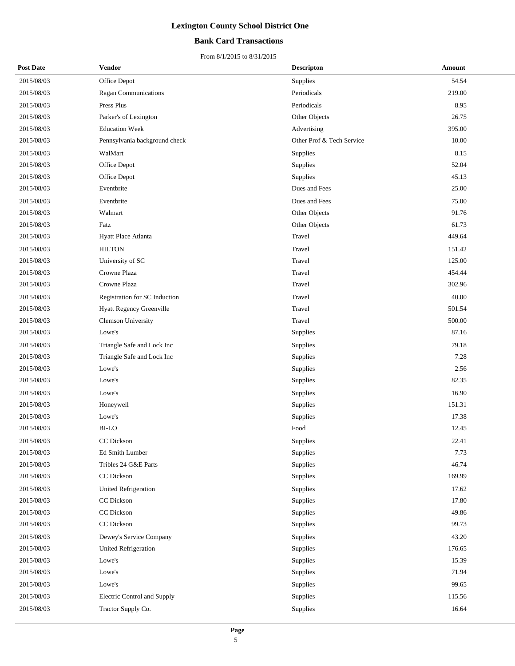### **Bank Card Transactions**

| <b>Post Date</b> | Vendor                        | <b>Descripton</b>         | Amount |
|------------------|-------------------------------|---------------------------|--------|
| 2015/08/03       | Office Depot                  | Supplies                  | 54.54  |
| 2015/08/03       | Ragan Communications          | Periodicals               | 219.00 |
| 2015/08/03       | Press Plus                    | Periodicals               | 8.95   |
| 2015/08/03       | Parker's of Lexington         | Other Objects             | 26.75  |
| 2015/08/03       | <b>Education Week</b>         | Advertising               | 395.00 |
| 2015/08/03       | Pennsylvania background check | Other Prof & Tech Service | 10.00  |
| 2015/08/03       | WalMart                       | Supplies                  | 8.15   |
| 2015/08/03       | Office Depot                  | Supplies                  | 52.04  |
| 2015/08/03       | Office Depot                  | Supplies                  | 45.13  |
| 2015/08/03       | Eventbrite                    | Dues and Fees             | 25.00  |
| 2015/08/03       | Eventbrite                    | Dues and Fees             | 75.00  |
| 2015/08/03       | Walmart                       | Other Objects             | 91.76  |
| 2015/08/03       | Fatz                          | Other Objects             | 61.73  |
| 2015/08/03       | Hyatt Place Atlanta           | Travel                    | 449.64 |
| 2015/08/03       | <b>HILTON</b>                 | Travel                    | 151.42 |
| 2015/08/03       | University of SC              | Travel                    | 125.00 |
| 2015/08/03       | Crowne Plaza                  | Travel                    | 454.44 |
| 2015/08/03       | Crowne Plaza                  | Travel                    | 302.96 |
| 2015/08/03       | Registration for SC Induction | Travel                    | 40.00  |
| 2015/08/03       | Hyatt Regency Greenville      | Travel                    | 501.54 |
| 2015/08/03       | Clemson University            | Travel                    | 500.00 |
| 2015/08/03       | Lowe's                        | Supplies                  | 87.16  |
| 2015/08/03       | Triangle Safe and Lock Inc    | Supplies                  | 79.18  |
| 2015/08/03       | Triangle Safe and Lock Inc    | Supplies                  | 7.28   |
| 2015/08/03       | Lowe's                        | Supplies                  | 2.56   |
| 2015/08/03       | Lowe's                        | Supplies                  | 82.35  |
| 2015/08/03       | Lowe's                        | Supplies                  | 16.90  |
| 2015/08/03       | Honeywell                     | Supplies                  | 151.31 |
| 2015/08/03       | Lowe's                        | Supplies                  | 17.38  |
| 2015/08/03       | <b>BI-LO</b>                  | Food                      | 12.45  |
| 2015/08/03       | CC Dickson                    | Supplies                  | 22.41  |
| 2015/08/03       | Ed Smith Lumber               | Supplies                  | 7.73   |
| 2015/08/03       | Tribles 24 G&E Parts          | Supplies                  | 46.74  |
| 2015/08/03       | CC Dickson                    | Supplies                  | 169.99 |
| 2015/08/03       | <b>United Refrigeration</b>   | Supplies                  | 17.62  |
| 2015/08/03       | CC Dickson                    | Supplies                  | 17.80  |
| 2015/08/03       | CC Dickson                    | Supplies                  | 49.86  |
| 2015/08/03       | CC Dickson                    | Supplies                  | 99.73  |
| 2015/08/03       | Dewey's Service Company       | Supplies                  | 43.20  |
| 2015/08/03       | United Refrigeration          | Supplies                  | 176.65 |
| 2015/08/03       | Lowe's                        | Supplies                  | 15.39  |
| 2015/08/03       | Lowe's                        | Supplies                  | 71.94  |
| 2015/08/03       | Lowe's                        | Supplies                  | 99.65  |
| 2015/08/03       | Electric Control and Supply   | Supplies                  | 115.56 |
| 2015/08/03       | Tractor Supply Co.            | Supplies                  | 16.64  |
|                  |                               |                           |        |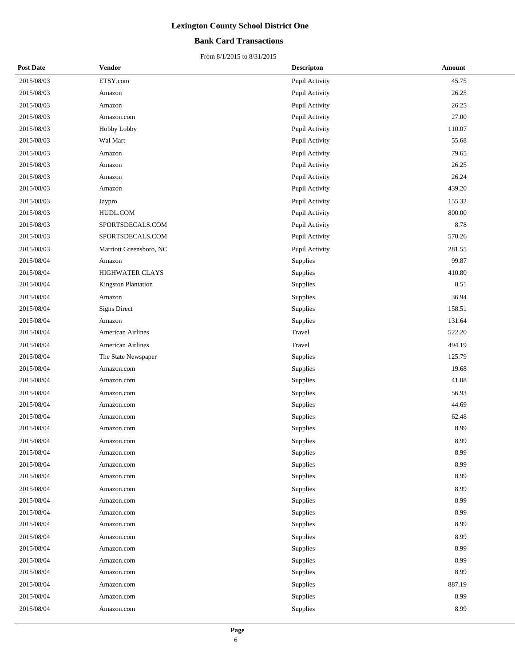### **Bank Card Transactions**

| <b>Post Date</b> | <b>Vendor</b>            | <b>Descripton</b> | Amount |
|------------------|--------------------------|-------------------|--------|
| 2015/08/03       | ETSY.com                 | Pupil Activity    | 45.75  |
| 2015/08/03       | Amazon                   | Pupil Activity    | 26.25  |
| 2015/08/03       | Amazon                   | Pupil Activity    | 26.25  |
| 2015/08/03       | Amazon.com               | Pupil Activity    | 27.00  |
| 2015/08/03       | Hobby Lobby              | Pupil Activity    | 110.07 |
| 2015/08/03       | Wal Mart                 | Pupil Activity    | 55.68  |
| 2015/08/03       | Amazon                   | Pupil Activity    | 79.65  |
| 2015/08/03       | Amazon                   | Pupil Activity    | 26.25  |
| 2015/08/03       | Amazon                   | Pupil Activity    | 26.24  |
| 2015/08/03       | Amazon                   | Pupil Activity    | 439.20 |
| 2015/08/03       | Jaypro                   | Pupil Activity    | 155.32 |
| 2015/08/03       | HUDL.COM                 | Pupil Activity    | 800.00 |
| 2015/08/03       | SPORTSDECALS.COM         | Pupil Activity    | 8.78   |
| 2015/08/03       | SPORTSDECALS.COM         | Pupil Activity    | 570.26 |
| 2015/08/03       | Marriott Greensboro, NC  | Pupil Activity    | 281.55 |
| 2015/08/04       | Amazon                   | Supplies          | 99.87  |
| 2015/08/04       | HIGHWATER CLAYS          | Supplies          | 410.80 |
| 2015/08/04       | Kingston Plantation      | Supplies          | 8.51   |
| 2015/08/04       | Amazon                   | Supplies          | 36.94  |
| 2015/08/04       | <b>Signs Direct</b>      | Supplies          | 158.51 |
| 2015/08/04       | Amazon                   | Supplies          | 131.64 |
| 2015/08/04       | <b>American Airlines</b> | Travel            | 522.20 |
| 2015/08/04       | <b>American Airlines</b> | Travel            | 494.19 |
| 2015/08/04       | The State Newspaper      | Supplies          | 125.79 |
| 2015/08/04       | Amazon.com               | Supplies          | 19.68  |
| 2015/08/04       | Amazon.com               | Supplies          | 41.08  |
| 2015/08/04       | Amazon.com               | Supplies          | 56.93  |
| 2015/08/04       | Amazon.com               | Supplies          | 44.69  |
| 2015/08/04       | Amazon.com               | Supplies          | 62.48  |
| 2015/08/04       | Amazon.com               | Supplies          | 8.99   |
| 2015/08/04       | Amazon.com               | Supplies          | 8.99   |
| 2015/08/04       | Amazon.com               | Supplies          | 8.99   |
| 2015/08/04       | Amazon.com               | Supplies          | 8.99   |
| 2015/08/04       | Amazon.com               | Supplies          | 8.99   |
| 2015/08/04       | Amazon.com               | Supplies          | 8.99   |
| 2015/08/04       | Amazon.com               | Supplies          | 8.99   |
| 2015/08/04       | Amazon.com               | Supplies          | 8.99   |
| 2015/08/04       | Amazon.com               | Supplies          | 8.99   |
| 2015/08/04       | Amazon.com               | Supplies          | 8.99   |
| 2015/08/04       | Amazon.com               | Supplies          | 8.99   |
| 2015/08/04       | Amazon.com               | Supplies          | 8.99   |
| 2015/08/04       | Amazon.com               | Supplies          | 8.99   |
| 2015/08/04       | Amazon.com               | Supplies          | 887.19 |
| 2015/08/04       | Amazon.com               | Supplies          | 8.99   |
| 2015/08/04       | Amazon.com               | Supplies          | 8.99   |
|                  |                          |                   |        |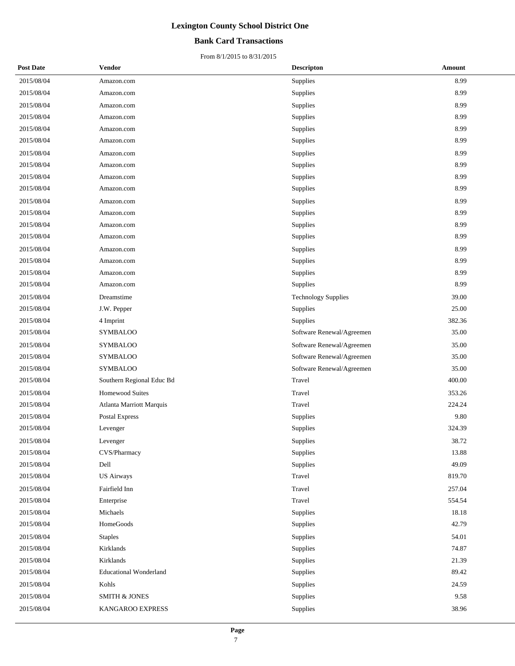### **Bank Card Transactions**

| <b>Post Date</b> | Vendor                        | <b>Descripton</b>          | Amount |
|------------------|-------------------------------|----------------------------|--------|
| 2015/08/04       | Amazon.com                    | Supplies                   | 8.99   |
| 2015/08/04       | Amazon.com                    | Supplies                   | 8.99   |
| 2015/08/04       | Amazon.com                    | Supplies                   | 8.99   |
| 2015/08/04       | Amazon.com                    | Supplies                   | 8.99   |
| 2015/08/04       | Amazon.com                    | Supplies                   | 8.99   |
| 2015/08/04       | Amazon.com                    | Supplies                   | 8.99   |
| 2015/08/04       | Amazon.com                    | Supplies                   | 8.99   |
| 2015/08/04       | Amazon.com                    | Supplies                   | 8.99   |
| 2015/08/04       | Amazon.com                    | Supplies                   | 8.99   |
| 2015/08/04       | Amazon.com                    | Supplies                   | 8.99   |
| 2015/08/04       | Amazon.com                    | Supplies                   | 8.99   |
| 2015/08/04       | Amazon.com                    | Supplies                   | 8.99   |
| 2015/08/04       | Amazon.com                    | Supplies                   | 8.99   |
| 2015/08/04       | Amazon.com                    | Supplies                   | 8.99   |
| 2015/08/04       | Amazon.com                    | Supplies                   | 8.99   |
| 2015/08/04       | Amazon.com                    | Supplies                   | 8.99   |
| 2015/08/04       | Amazon.com                    | Supplies                   | 8.99   |
| 2015/08/04       | Amazon.com                    | Supplies                   | 8.99   |
| 2015/08/04       | Dreamstime                    | <b>Technology Supplies</b> | 39.00  |
| 2015/08/04       | J.W. Pepper                   | Supplies                   | 25.00  |
| 2015/08/04       | 4 Imprint                     | Supplies                   | 382.36 |
| 2015/08/04       | <b>SYMBALOO</b>               | Software Renewal/Agreemen  | 35.00  |
| 2015/08/04       | <b>SYMBALOO</b>               | Software Renewal/Agreemen  | 35.00  |
| 2015/08/04       | <b>SYMBALOO</b>               | Software Renewal/Agreemen  | 35.00  |
| 2015/08/04       | <b>SYMBALOO</b>               | Software Renewal/Agreemen  | 35.00  |
| 2015/08/04       | Southern Regional Educ Bd     | Travel                     | 400.00 |
| 2015/08/04       | <b>Homewood Suites</b>        | Travel                     | 353.26 |
| 2015/08/04       | Atlanta Marriott Marquis      | Travel                     | 224.24 |
| 2015/08/04       | Postal Express                | Supplies                   | 9.80   |
| 2015/08/04       | Levenger                      | Supplies                   | 324.39 |
| 2015/08/04       | Levenger                      | Supplies                   | 38.72  |
| 2015/08/04       | CVS/Pharmacy                  | Supplies                   | 13.88  |
| 2015/08/04       | Dell                          | Supplies                   | 49.09  |
| 2015/08/04       | <b>US Airways</b>             | Travel                     | 819.70 |
| 2015/08/04       | Fairfield Inn                 | Travel                     | 257.04 |
| 2015/08/04       | Enterprise                    | Travel                     | 554.54 |
| 2015/08/04       | Michaels                      | Supplies                   | 18.18  |
| 2015/08/04       | HomeGoods                     | Supplies                   | 42.79  |
| 2015/08/04       | <b>Staples</b>                | Supplies                   | 54.01  |
| 2015/08/04       | Kirklands                     | Supplies                   | 74.87  |
| 2015/08/04       | Kirklands                     | Supplies                   | 21.39  |
| 2015/08/04       | <b>Educational Wonderland</b> | Supplies                   | 89.42  |
| 2015/08/04       | Kohls                         | Supplies                   | 24.59  |
| 2015/08/04       | <b>SMITH &amp; JONES</b>      | Supplies                   | 9.58   |
| 2015/08/04       | KANGAROO EXPRESS              | Supplies                   | 38.96  |
|                  |                               |                            |        |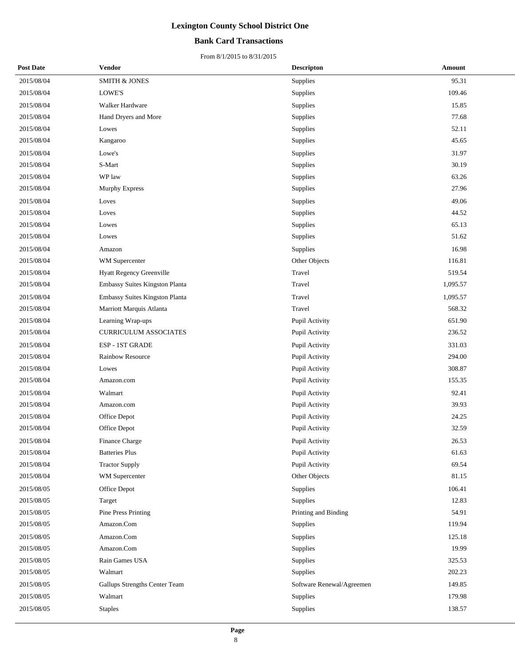### **Bank Card Transactions**

| <b>Post Date</b> | Vendor                         | <b>Descripton</b>         | Amount   |
|------------------|--------------------------------|---------------------------|----------|
| 2015/08/04       | <b>SMITH &amp; JONES</b>       | Supplies                  | 95.31    |
| 2015/08/04       | LOWE'S                         | Supplies                  | 109.46   |
| 2015/08/04       | Walker Hardware                | Supplies                  | 15.85    |
| 2015/08/04       | Hand Dryers and More           | Supplies                  | 77.68    |
| 2015/08/04       | Lowes                          | Supplies                  | 52.11    |
| 2015/08/04       | Kangaroo                       | Supplies                  | 45.65    |
| 2015/08/04       | Lowe's                         | Supplies                  | 31.97    |
| 2015/08/04       | S-Mart                         | Supplies                  | 30.19    |
| 2015/08/04       | WP law                         | Supplies                  | 63.26    |
| 2015/08/04       | Murphy Express                 | Supplies                  | 27.96    |
| 2015/08/04       | Loves                          | Supplies                  | 49.06    |
| 2015/08/04       | Loves                          | Supplies                  | 44.52    |
| 2015/08/04       | Lowes                          | Supplies                  | 65.13    |
| 2015/08/04       | Lowes                          | Supplies                  | 51.62    |
| 2015/08/04       | Amazon                         | Supplies                  | 16.98    |
| 2015/08/04       | WM Supercenter                 | Other Objects             | 116.81   |
| 2015/08/04       | Hyatt Regency Greenville       | Travel                    | 519.54   |
| 2015/08/04       | Embassy Suites Kingston Planta | Travel                    | 1,095.57 |
| 2015/08/04       | Embassy Suites Kingston Planta | Travel                    | 1,095.57 |
| 2015/08/04       | Marriott Marquis Atlanta       | Travel                    | 568.32   |
| 2015/08/04       | Learning Wrap-ups              | Pupil Activity            | 651.90   |
| 2015/08/04       | <b>CURRICULUM ASSOCIATES</b>   | Pupil Activity            | 236.52   |
| 2015/08/04       | ESP - 1ST GRADE                | Pupil Activity            | 331.03   |
| 2015/08/04       | Rainbow Resource               | Pupil Activity            | 294.00   |
| 2015/08/04       | Lowes                          | Pupil Activity            | 308.87   |
| 2015/08/04       | Amazon.com                     | Pupil Activity            | 155.35   |
| 2015/08/04       | Walmart                        | Pupil Activity            | 92.41    |
| 2015/08/04       | Amazon.com                     | Pupil Activity            | 39.93    |
| 2015/08/04       | Office Depot                   | Pupil Activity            | 24.25    |
| 2015/08/04       | Office Depot                   | Pupil Activity            | 32.59    |
| 2015/08/04       | <b>Finance Charge</b>          | Pupil Activity            | 26.53    |
| 2015/08/04       | <b>Batteries Plus</b>          | Pupil Activity            | 61.63    |
| 2015/08/04       | <b>Tractor Supply</b>          | Pupil Activity            | 69.54    |
| 2015/08/04       | WM Supercenter                 | Other Objects             | 81.15    |
| 2015/08/05       | Office Depot                   | Supplies                  | 106.41   |
| 2015/08/05       | Target                         | Supplies                  | 12.83    |
| 2015/08/05       | <b>Pine Press Printing</b>     | Printing and Binding      | 54.91    |
| 2015/08/05       | Amazon.Com                     | Supplies                  | 119.94   |
| 2015/08/05       | Amazon.Com                     | Supplies                  | 125.18   |
| 2015/08/05       | Amazon.Com                     | Supplies                  | 19.99    |
| 2015/08/05       | Rain Games USA                 | Supplies                  | 325.53   |
| 2015/08/05       | Walmart                        | Supplies                  | 202.23   |
| 2015/08/05       | Gallups Strengths Center Team  | Software Renewal/Agreemen | 149.85   |
| 2015/08/05       | Walmart                        | Supplies                  | 179.98   |
| 2015/08/05       | <b>Staples</b>                 | Supplies                  | 138.57   |
|                  |                                |                           |          |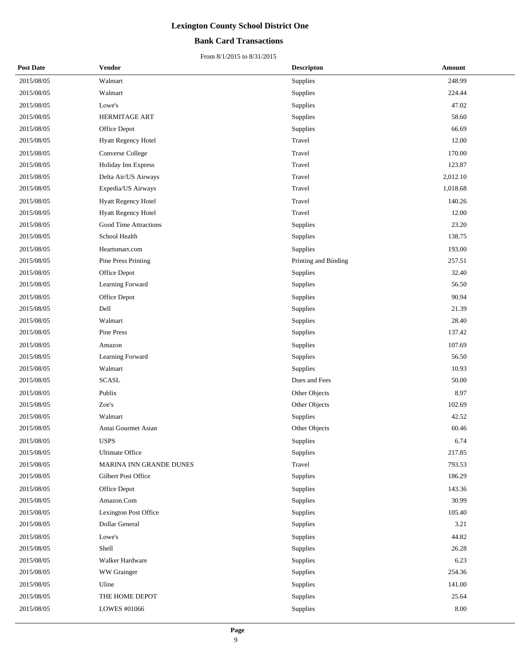### **Bank Card Transactions**

| <b>Post Date</b> | Vendor                     | <b>Descripton</b>    | Amount   |
|------------------|----------------------------|----------------------|----------|
| 2015/08/05       | Walmart                    | Supplies             | 248.99   |
| 2015/08/05       | Walmart                    | Supplies             | 224.44   |
| 2015/08/05       | Lowe's                     | Supplies             | 47.02    |
| 2015/08/05       | HERMITAGE ART              | Supplies             | 58.60    |
| 2015/08/05       | Office Depot               | Supplies             | 66.69    |
| 2015/08/05       | Hyatt Regency Hotel        | Travel               | 12.00    |
| 2015/08/05       | <b>Converse College</b>    | Travel               | 170.00   |
| 2015/08/05       | Holiday Inn Express        | Travel               | 123.87   |
| 2015/08/05       | Delta Air/US Airways       | Travel               | 2,012.10 |
| 2015/08/05       | Expedia/US Airways         | Travel               | 1,018.68 |
| 2015/08/05       | <b>Hyatt Regency Hotel</b> | Travel               | 140.26   |
| 2015/08/05       | Hyatt Regency Hotel        | Travel               | 12.00    |
| 2015/08/05       | Good Time Attractions      | Supplies             | 23.20    |
| 2015/08/05       | School Health              | Supplies             | 138.75   |
| 2015/08/05       | Heartsmart.com             | Supplies             | 193.00   |
| 2015/08/05       | Pine Press Printing        | Printing and Binding | 257.51   |
| 2015/08/05       | Office Depot               | Supplies             | 32.40    |
| 2015/08/05       | Learning Forward           | Supplies             | 56.50    |
| 2015/08/05       | Office Depot               | Supplies             | 90.94    |
| 2015/08/05       | Dell                       | Supplies             | 21.39    |
| 2015/08/05       | Walmart                    | Supplies             | 28.40    |
| 2015/08/05       | Pine Press                 | Supplies             | 137.42   |
| 2015/08/05       | Amazon                     | Supplies             | 107.69   |
| 2015/08/05       | Learning Forward           | Supplies             | 56.50    |
| 2015/08/05       | Walmart                    | Supplies             | 10.93    |
| 2015/08/05       | <b>SCASL</b>               | Dues and Fees        | 50.00    |
| 2015/08/05       | Publix                     | Other Objects        | 8.97     |
| 2015/08/05       | Zoe's                      | Other Objects        | 102.69   |
| 2015/08/05       | Walmart                    | Supplies             | 42.52    |
| 2015/08/05       | Antai Gourmet Asian        | Other Objects        | 60.46    |
| 2015/08/05       | <b>USPS</b>                | Supplies             | 6.74     |
| 2015/08/05       | <b>Ultimate Office</b>     | Supplies             | 217.85   |
| 2015/08/05       | MARINA INN GRANDE DUNES    | Travel               | 793.53   |
| 2015/08/05       | Gilbert Post Office        | Supplies             | 186.29   |
| 2015/08/05       | Office Depot               | Supplies             | 143.36   |
| 2015/08/05       | Amazon.Com                 | Supplies             | 30.99    |
| 2015/08/05       | Lexington Post Office      | Supplies             | 105.40   |
| 2015/08/05       | Dollar General             | Supplies             | 3.21     |
| 2015/08/05       | Lowe's                     | Supplies             | 44.82    |
| 2015/08/05       | Shell                      | Supplies             | 26.28    |
| 2015/08/05       | Walker Hardware            | Supplies             | 6.23     |
| 2015/08/05       | WW Grainger                | Supplies             | 254.36   |
| 2015/08/05       | Uline                      | Supplies             | 141.00   |
| 2015/08/05       | THE HOME DEPOT             | Supplies             | 25.64    |
| 2015/08/05       | LOWES #01066               | Supplies             | 8.00     |
|                  |                            |                      |          |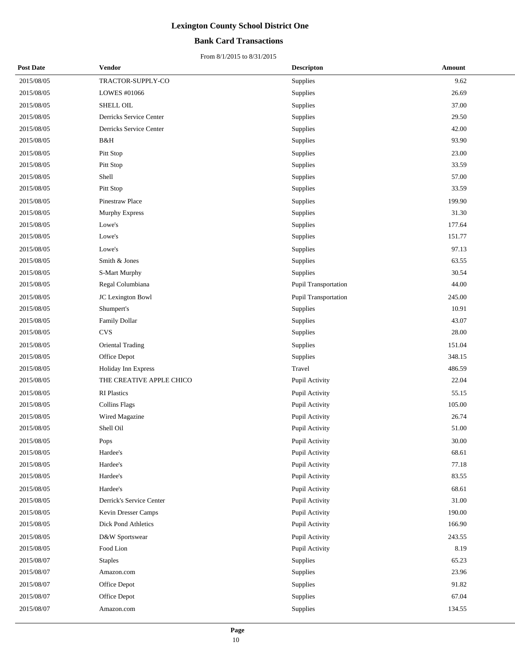### **Bank Card Transactions**

| <b>Post Date</b> | Vendor                   | <b>Descripton</b>           | Amount |
|------------------|--------------------------|-----------------------------|--------|
| 2015/08/05       | TRACTOR-SUPPLY-CO        | Supplies                    | 9.62   |
| 2015/08/05       | LOWES #01066             | Supplies                    | 26.69  |
| 2015/08/05       | SHELL OIL                | Supplies                    | 37.00  |
| 2015/08/05       | Derricks Service Center  | Supplies                    | 29.50  |
| 2015/08/05       | Derricks Service Center  | Supplies                    | 42.00  |
| 2015/08/05       | B&H                      | Supplies                    | 93.90  |
| 2015/08/05       | Pitt Stop                | Supplies                    | 23.00  |
| 2015/08/05       | Pitt Stop                | Supplies                    | 33.59  |
| 2015/08/05       | Shell                    | Supplies                    | 57.00  |
| 2015/08/05       | Pitt Stop                | Supplies                    | 33.59  |
| 2015/08/05       | Pinestraw Place          | Supplies                    | 199.90 |
| 2015/08/05       | Murphy Express           | Supplies                    | 31.30  |
| 2015/08/05       | Lowe's                   | Supplies                    | 177.64 |
| 2015/08/05       | Lowe's                   | Supplies                    | 151.77 |
| 2015/08/05       | Lowe's                   | Supplies                    | 97.13  |
| 2015/08/05       | Smith & Jones            | Supplies                    | 63.55  |
| 2015/08/05       | S-Mart Murphy            | Supplies                    | 30.54  |
| 2015/08/05       | Regal Columbiana         | Pupil Transportation        | 44.00  |
| 2015/08/05       | JC Lexington Bowl        | <b>Pupil Transportation</b> | 245.00 |
| 2015/08/05       | Shumpert's               | Supplies                    | 10.91  |
| 2015/08/05       | Family Dollar            | Supplies                    | 43.07  |
| 2015/08/05       | <b>CVS</b>               | Supplies                    | 28.00  |
| 2015/08/05       | <b>Oriental Trading</b>  | Supplies                    | 151.04 |
| 2015/08/05       | Office Depot             | Supplies                    | 348.15 |
| 2015/08/05       | Holiday Inn Express      | Travel                      | 486.59 |
| 2015/08/05       | THE CREATIVE APPLE CHICO | Pupil Activity              | 22.04  |
| 2015/08/05       | <b>RI</b> Plastics       | Pupil Activity              | 55.15  |
| 2015/08/05       | <b>Collins Flags</b>     | Pupil Activity              | 105.00 |
| 2015/08/05       | Wired Magazine           | Pupil Activity              | 26.74  |
| 2015/08/05       | Shell Oil                | Pupil Activity              | 51.00  |
| 2015/08/05       | Pops                     | Pupil Activity              | 30.00  |
| 2015/08/05       | Hardee's                 | Pupil Activity              | 68.61  |
| 2015/08/05       | Hardee's                 | Pupil Activity              | 77.18  |
| 2015/08/05       | Hardee's                 | Pupil Activity              | 83.55  |
| 2015/08/05       | Hardee's                 | Pupil Activity              | 68.61  |
| 2015/08/05       | Derrick's Service Center | Pupil Activity              | 31.00  |
| 2015/08/05       | Kevin Dresser Camps      | Pupil Activity              | 190.00 |
| 2015/08/05       | Dick Pond Athletics      | Pupil Activity              | 166.90 |
| 2015/08/05       | D&W Sportswear           | Pupil Activity              | 243.55 |
| 2015/08/05       | Food Lion                | Pupil Activity              | 8.19   |
| 2015/08/07       | <b>Staples</b>           | Supplies                    | 65.23  |
| 2015/08/07       | Amazon.com               | Supplies                    | 23.96  |
| 2015/08/07       | Office Depot             | Supplies                    | 91.82  |
| 2015/08/07       | Office Depot             | Supplies                    | 67.04  |
| 2015/08/07       | Amazon.com               | Supplies                    | 134.55 |
|                  |                          |                             |        |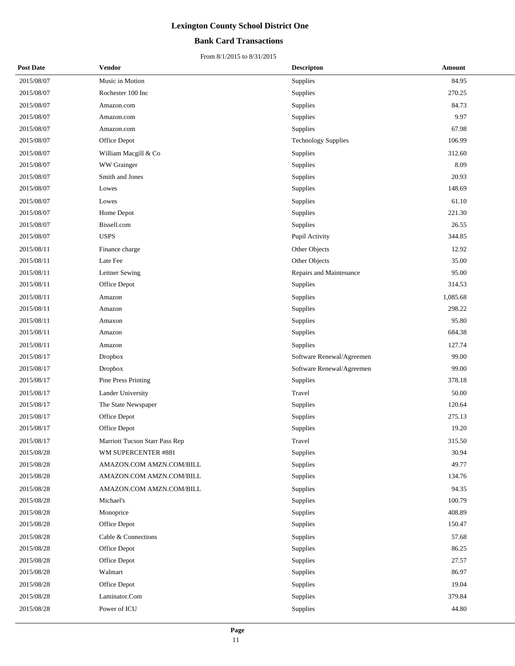### **Bank Card Transactions**

| <b>Post Date</b> | <b>Vendor</b>                  | <b>Descripton</b>          | Amount   |
|------------------|--------------------------------|----------------------------|----------|
| 2015/08/07       | Music in Motion                | Supplies                   | 84.95    |
| 2015/08/07       | Rochester 100 Inc              | Supplies                   | 270.25   |
| 2015/08/07       | Amazon.com                     | Supplies                   | 84.73    |
| 2015/08/07       | Amazon.com                     | Supplies                   | 9.97     |
| 2015/08/07       | Amazon.com                     | Supplies                   | 67.98    |
| 2015/08/07       | Office Depot                   | <b>Technology Supplies</b> | 106.99   |
| 2015/08/07       | William Macgill & Co           | Supplies                   | 312.60   |
| 2015/08/07       | WW Grainger                    | <b>Supplies</b>            | 8.09     |
| 2015/08/07       | Smith and Jones                | Supplies                   | 20.93    |
| 2015/08/07       | Lowes                          | Supplies                   | 148.69   |
| 2015/08/07       | Lowes                          | Supplies                   | 61.10    |
| 2015/08/07       | Home Depot                     | Supplies                   | 221.30   |
| 2015/08/07       | Bissell.com                    | Supplies                   | 26.55    |
| 2015/08/07       | <b>USPS</b>                    | Pupil Activity             | 344.85   |
| 2015/08/11       | Finance charge                 | Other Objects              | 12.92    |
| 2015/08/11       | Late Fee                       | Other Objects              | 35.00    |
| 2015/08/11       | Leitner Sewing                 | Repairs and Maintenance    | 95.00    |
| 2015/08/11       | Office Depot                   | Supplies                   | 314.53   |
| 2015/08/11       | Amazon                         | Supplies                   | 1,085.68 |
| 2015/08/11       | Amazon                         | Supplies                   | 298.22   |
| 2015/08/11       | Amaxon                         | Supplies                   | 95.80    |
| 2015/08/11       | Amazon                         | Supplies                   | 684.38   |
| 2015/08/11       | Amazon                         | Supplies                   | 127.74   |
| 2015/08/17       | <b>Dropbox</b>                 | Software Renewal/Agreemen  | 99.00    |
| 2015/08/17       | <b>Dropbox</b>                 | Software Renewal/Agreemen  | 99.00    |
| 2015/08/17       | Pine Press Printing            | Supplies                   | 378.18   |
| 2015/08/17       | Lander University              | Travel                     | 50.00    |
| 2015/08/17       | The State Newspaper            | Supplies                   | 120.64   |
| 2015/08/17       | Office Depot                   | Supplies                   | 275.13   |
| 2015/08/17       | Office Depot                   | Supplies                   | 19.20    |
| 2015/08/17       | Marriott Tucson Starr Pass Rep | Travel                     | 315.50   |
| 2015/08/28       | WM SUPERCENTER #881            | Supplies                   | 30.94    |
| 2015/08/28       | AMAZON.COM AMZN.COM/BILL       | Supplies                   | 49.77    |
| 2015/08/28       | AMAZON.COM AMZN.COM/BILL       | Supplies                   | 134.76   |
| 2015/08/28       | AMAZON.COM AMZN.COM/BILL       | Supplies                   | 94.35    |
| 2015/08/28       | Michael's                      | Supplies                   | 100.79   |
| 2015/08/28       | Monoprice                      | Supplies                   | 408.89   |
| 2015/08/28       | Office Depot                   | Supplies                   | 150.47   |
| 2015/08/28       | Cable & Connections            | Supplies                   | 57.68    |
| 2015/08/28       | Office Depot                   | Supplies                   | 86.25    |
| 2015/08/28       | Office Depot                   | Supplies                   | 27.57    |
| 2015/08/28       | Walmart                        | Supplies                   | 86.97    |
| 2015/08/28       | Office Depot                   | Supplies                   | 19.04    |
| 2015/08/28       | Laminator.Com                  | Supplies                   | 379.84   |
| 2015/08/28       | Power of ICU                   | Supplies                   | 44.80    |
|                  |                                |                            |          |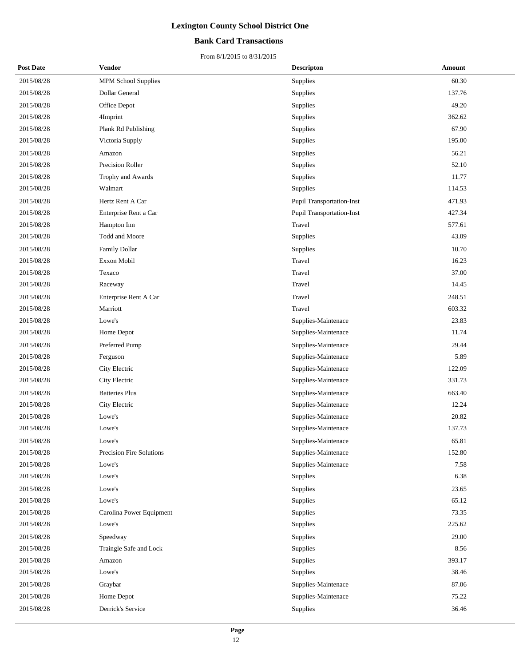### **Bank Card Transactions**

| <b>Post Date</b> | Vendor                     | <b>Descripton</b>                | Amount |  |
|------------------|----------------------------|----------------------------------|--------|--|
| 2015/08/28       | <b>MPM School Supplies</b> | Supplies                         | 60.30  |  |
| 2015/08/28       | Dollar General             | Supplies                         | 137.76 |  |
| 2015/08/28       | Office Depot               | Supplies                         | 49.20  |  |
| 2015/08/28       | 4Imprint                   | Supplies                         | 362.62 |  |
| 2015/08/28       | Plank Rd Publishing        | Supplies                         | 67.90  |  |
| 2015/08/28       | Victoria Supply            | Supplies                         | 195.00 |  |
| 2015/08/28       | Amazon                     | Supplies                         | 56.21  |  |
| 2015/08/28       | Precision Roller           | Supplies                         | 52.10  |  |
| 2015/08/28       | Trophy and Awards          | Supplies                         | 11.77  |  |
| 2015/08/28       | Walmart                    | Supplies                         | 114.53 |  |
| 2015/08/28       | Hertz Rent A Car           | Pupil Transportation-Inst        | 471.93 |  |
| 2015/08/28       | Enterprise Rent a Car      | <b>Pupil Transportation-Inst</b> | 427.34 |  |
| 2015/08/28       | Hampton Inn                | Travel                           | 577.61 |  |
| 2015/08/28       | Todd and Moore             | Supplies                         | 43.09  |  |
| 2015/08/28       | <b>Family Dollar</b>       | Supplies                         | 10.70  |  |
| 2015/08/28       | Exxon Mobil                | Travel                           | 16.23  |  |
| 2015/08/28       | Texaco                     | Travel                           | 37.00  |  |
| 2015/08/28       | Raceway                    | Travel                           | 14.45  |  |
| 2015/08/28       | Enterprise Rent A Car      | Travel                           | 248.51 |  |
| 2015/08/28       | Marriott                   | Travel                           | 603.32 |  |
| 2015/08/28       | Lowe's                     | Supplies-Maintenace              | 23.83  |  |
| 2015/08/28       | Home Depot                 | Supplies-Maintenace              | 11.74  |  |
| 2015/08/28       | Preferred Pump             | Supplies-Maintenace              | 29.44  |  |
| 2015/08/28       | Ferguson                   | Supplies-Maintenace              | 5.89   |  |
| 2015/08/28       | City Electric              | Supplies-Maintenace              | 122.09 |  |
| 2015/08/28       | City Electric              | Supplies-Maintenace              | 331.73 |  |
| 2015/08/28       | <b>Batteries Plus</b>      | Supplies-Maintenace              | 663.40 |  |
| 2015/08/28       | City Electric              | Supplies-Maintenace              | 12.24  |  |
| 2015/08/28       | Lowe's                     | Supplies-Maintenace              | 20.82  |  |
| 2015/08/28       | Lowe's                     | Supplies-Maintenace              | 137.73 |  |
| 2015/08/28       | Lowe's                     | Supplies-Maintenace              | 65.81  |  |
| 2015/08/28       | Precision Fire Solutions   | Supplies-Maintenace              | 152.80 |  |
| 2015/08/28       | Lowe's                     | Supplies-Maintenace              | 7.58   |  |
| 2015/08/28       | Lowe's                     | Supplies                         | 6.38   |  |
| 2015/08/28       | Lowe's                     | Supplies                         | 23.65  |  |
| 2015/08/28       | Lowe's                     | Supplies                         | 65.12  |  |
| 2015/08/28       | Carolina Power Equipment   | Supplies                         | 73.35  |  |
| 2015/08/28       | Lowe's                     | Supplies                         | 225.62 |  |
| 2015/08/28       | Speedway                   | Supplies                         | 29.00  |  |
| 2015/08/28       | Traingle Safe and Lock     | Supplies                         | 8.56   |  |
| 2015/08/28       | Amazon                     | Supplies                         | 393.17 |  |
| 2015/08/28       | Lowe's                     | Supplies                         | 38.46  |  |
| 2015/08/28       | Graybar                    | Supplies-Maintenace              | 87.06  |  |
| 2015/08/28       | Home Depot                 | Supplies-Maintenace              | 75.22  |  |
| 2015/08/28       | Derrick's Service          | Supplies                         | 36.46  |  |
|                  |                            |                                  |        |  |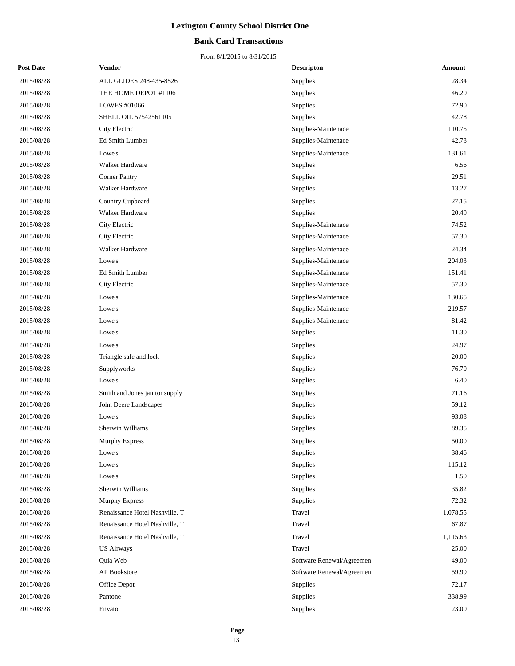### **Bank Card Transactions**

| <b>Post Date</b> | Vendor                         | <b>Descripton</b>         | Amount   |
|------------------|--------------------------------|---------------------------|----------|
| 2015/08/28       | ALL GLIDES 248-435-8526        | <b>Supplies</b>           | 28.34    |
| 2015/08/28       | THE HOME DEPOT #1106           | Supplies                  | 46.20    |
| 2015/08/28       | LOWES #01066                   | Supplies                  | 72.90    |
| 2015/08/28       | SHELL OIL 57542561105          | Supplies                  | 42.78    |
| 2015/08/28       | City Electric                  | Supplies-Maintenace       | 110.75   |
| 2015/08/28       | Ed Smith Lumber                | Supplies-Maintenace       | 42.78    |
| 2015/08/28       | Lowe's                         | Supplies-Maintenace       | 131.61   |
| 2015/08/28       | Walker Hardware                | Supplies                  | 6.56     |
| 2015/08/28       | <b>Corner Pantry</b>           | Supplies                  | 29.51    |
| 2015/08/28       | Walker Hardware                | Supplies                  | 13.27    |
| 2015/08/28       | Country Cupboard               | Supplies                  | 27.15    |
| 2015/08/28       | Walker Hardware                | Supplies                  | 20.49    |
| 2015/08/28       | City Electric                  | Supplies-Maintenace       | 74.52    |
| 2015/08/28       | City Electric                  | Supplies-Maintenace       | 57.30    |
| 2015/08/28       | Walker Hardware                | Supplies-Maintenace       | 24.34    |
| 2015/08/28       | Lowe's                         | Supplies-Maintenace       | 204.03   |
| 2015/08/28       | Ed Smith Lumber                | Supplies-Maintenace       | 151.41   |
| 2015/08/28       | City Electric                  | Supplies-Maintenace       | 57.30    |
| 2015/08/28       | Lowe's                         | Supplies-Maintenace       | 130.65   |
| 2015/08/28       | Lowe's                         | Supplies-Maintenace       | 219.57   |
| 2015/08/28       | Lowe's                         | Supplies-Maintenace       | 81.42    |
| 2015/08/28       | Lowe's                         | <b>Supplies</b>           | 11.30    |
| 2015/08/28       | Lowe's                         | Supplies                  | 24.97    |
| 2015/08/28       | Triangle safe and lock         | Supplies                  | 20.00    |
| 2015/08/28       | Supplyworks                    | Supplies                  | 76.70    |
| 2015/08/28       | Lowe's                         | Supplies                  | 6.40     |
| 2015/08/28       | Smith and Jones janitor supply | Supplies                  | 71.16    |
| 2015/08/28       | John Deere Landscapes          | Supplies                  | 59.12    |
| 2015/08/28       | Lowe's                         | Supplies                  | 93.08    |
| 2015/08/28       | Sherwin Williams               | Supplies                  | 89.35    |
| 2015/08/28       | Murphy Express                 | Supplies                  | 50.00    |
| 2015/08/28       | Lowe's                         | Supplies                  | 38.46    |
| 2015/08/28       | Lowe's                         | Supplies                  | 115.12   |
| 2015/08/28       | Lowe's                         | Supplies                  | 1.50     |
| 2015/08/28       | Sherwin Williams               | Supplies                  | 35.82    |
| 2015/08/28       | Murphy Express                 | Supplies                  | 72.32    |
| 2015/08/28       | Renaissance Hotel Nashville, T | Travel                    | 1,078.55 |
| 2015/08/28       | Renaissance Hotel Nashville, T | Travel                    | 67.87    |
| 2015/08/28       | Renaissance Hotel Nashville, T | Travel                    | 1,115.63 |
| 2015/08/28       | <b>US Airways</b>              | Travel                    | 25.00    |
| 2015/08/28       | Quia Web                       | Software Renewal/Agreemen | 49.00    |
| 2015/08/28       | AP Bookstore                   | Software Renewal/Agreemen | 59.99    |
| 2015/08/28       | Office Depot                   | Supplies                  | 72.17    |
| 2015/08/28       | Pantone                        | Supplies                  | 338.99   |
| 2015/08/28       | Envato                         | Supplies                  | 23.00    |
|                  |                                |                           |          |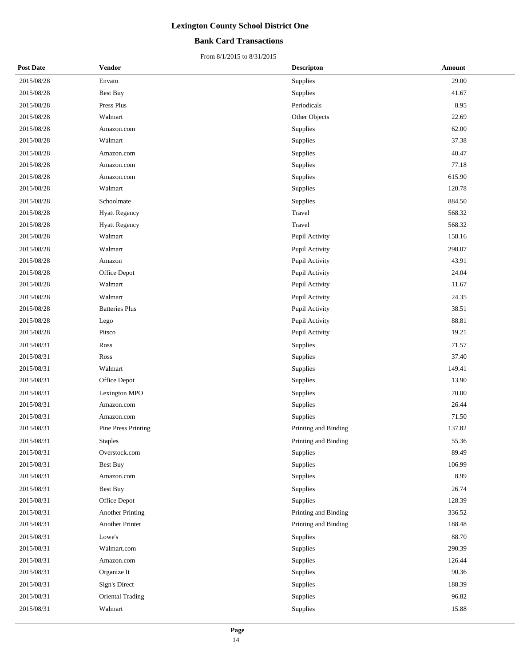### **Bank Card Transactions**

| <b>Post Date</b> | Vendor                  | <b>Descripton</b>    | Amount |
|------------------|-------------------------|----------------------|--------|
| 2015/08/28       | Envato                  | Supplies             | 29.00  |
| 2015/08/28       | Best Buy                | Supplies             | 41.67  |
| 2015/08/28       | Press Plus              | Periodicals          | 8.95   |
| 2015/08/28       | Walmart                 | Other Objects        | 22.69  |
| 2015/08/28       | Amazon.com              | Supplies             | 62.00  |
| 2015/08/28       | Walmart                 | Supplies             | 37.38  |
| 2015/08/28       | Amazon.com              | Supplies             | 40.47  |
| 2015/08/28       | Amazon.com              | Supplies             | 77.18  |
| 2015/08/28       | Amazon.com              | Supplies             | 615.90 |
| 2015/08/28       | Walmart                 | Supplies             | 120.78 |
| 2015/08/28       | Schoolmate              | Supplies             | 884.50 |
| 2015/08/28       | <b>Hyatt Regency</b>    | Travel               | 568.32 |
| 2015/08/28       | <b>Hyatt Regency</b>    | Travel               | 568.32 |
| 2015/08/28       | Walmart                 | Pupil Activity       | 158.16 |
| 2015/08/28       | Walmart                 | Pupil Activity       | 298.07 |
| 2015/08/28       | Amazon                  | Pupil Activity       | 43.91  |
| 2015/08/28       | Office Depot            | Pupil Activity       | 24.04  |
| 2015/08/28       | Walmart                 | Pupil Activity       | 11.67  |
| 2015/08/28       | Walmart                 | Pupil Activity       | 24.35  |
| 2015/08/28       | <b>Batteries Plus</b>   | Pupil Activity       | 38.51  |
| 2015/08/28       | Lego                    | Pupil Activity       | 88.81  |
| 2015/08/28       | Pitsco                  | Pupil Activity       | 19.21  |
| 2015/08/31       | Ross                    | Supplies             | 71.57  |
| 2015/08/31       | Ross                    | Supplies             | 37.40  |
| 2015/08/31       | Walmart                 | Supplies             | 149.41 |
| 2015/08/31       | Office Depot            | Supplies             | 13.90  |
| 2015/08/31       | Lexington MPO           | Supplies             | 70.00  |
| 2015/08/31       | Amazon.com              | Supplies             | 26.44  |
| 2015/08/31       | Amazon.com              | Supplies             | 71.50  |
| 2015/08/31       | Pine Press Printing     | Printing and Binding | 137.82 |
| 2015/08/31       | <b>Staples</b>          | Printing and Binding | 55.36  |
| 2015/08/31       | Overstock.com           | Supplies             | 89.49  |
| 2015/08/31       | Best Buy                | Supplies             | 106.99 |
| 2015/08/31       | Amazon.com              | Supplies             | 8.99   |
| 2015/08/31       | Best Buy                | Supplies             | 26.74  |
| 2015/08/31       | Office Depot            | Supplies             | 128.39 |
| 2015/08/31       | <b>Another Printing</b> | Printing and Binding | 336.52 |
| 2015/08/31       | Another Printer         | Printing and Binding | 188.48 |
| 2015/08/31       | Lowe's                  | Supplies             | 88.70  |
| 2015/08/31       | Walmart.com             | Supplies             | 290.39 |
| 2015/08/31       | Amazon.com              | Supplies             | 126.44 |
| 2015/08/31       | Organize It             | Supplies             | 90.36  |
| 2015/08/31       | Sign's Direct           | Supplies             | 188.39 |
| 2015/08/31       | Oriental Trading        | Supplies             | 96.82  |
| 2015/08/31       | Walmart                 | Supplies             | 15.88  |
|                  |                         |                      |        |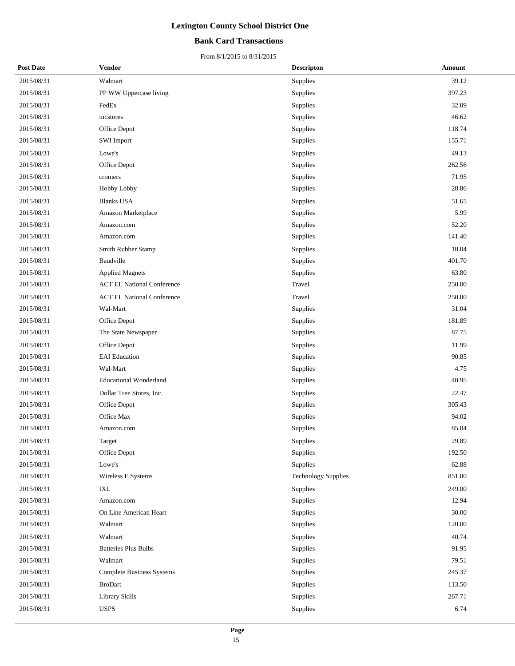### **Bank Card Transactions**

| <b>Post Date</b> | <b>Vendor</b>                     | <b>Descripton</b>          | Amount |
|------------------|-----------------------------------|----------------------------|--------|
| 2015/08/31       | Walmart                           | Supplies                   | 39.12  |
| 2015/08/31       | PP WW Uppercase living            | Supplies                   | 397.23 |
| 2015/08/31       | FedEx                             | Supplies                   | 32.09  |
| 2015/08/31       | incstores                         | Supplies                   | 46.62  |
| 2015/08/31       | Office Depot                      | Supplies                   | 118.74 |
| 2015/08/31       | <b>SWI</b> Import                 | Supplies                   | 155.71 |
| 2015/08/31       | Lowe's                            | Supplies                   | 49.13  |
| 2015/08/31       | Office Depot                      | Supplies                   | 262.56 |
| 2015/08/31       | cromers                           | Supplies                   | 71.95  |
| 2015/08/31       | Hobby Lobby                       | Supplies                   | 28.86  |
| 2015/08/31       | <b>Blanks USA</b>                 | Supplies                   | 51.65  |
| 2015/08/31       | Amazon Marketplace                | Supplies                   | 5.99   |
| 2015/08/31       | Amazon.com                        | Supplies                   | 52.20  |
| 2015/08/31       | Amazon.com                        | Supplies                   | 141.40 |
| 2015/08/31       | Smith Rubber Stamp                | Supplies                   | 18.04  |
| 2015/08/31       | Baudville                         | Supplies                   | 401.70 |
| 2015/08/31       | <b>Applied Magnets</b>            | Supplies                   | 63.80  |
| 2015/08/31       | <b>ACT EL National Conference</b> | Travel                     | 250.00 |
| 2015/08/31       | <b>ACT EL National Conference</b> | Travel                     | 250.00 |
| 2015/08/31       | Wal-Mart                          | Supplies                   | 31.04  |
| 2015/08/31       | Office Depot                      | Supplies                   | 181.89 |
| 2015/08/31       | The State Newspaper               | Supplies                   | 87.75  |
| 2015/08/31       | Office Depot                      | Supplies                   | 11.99  |
| 2015/08/31       | <b>EAI</b> Education              | Supplies                   | 90.85  |
| 2015/08/31       | Wal-Mart                          | Supplies                   | 4.75   |
| 2015/08/31       | <b>Educational Wonderland</b>     | Supplies                   | 40.95  |
| 2015/08/31       | Dollar Tree Stores, Inc.          | Supplies                   | 22.47  |
| 2015/08/31       | Office Depot                      | Supplies                   | 305.43 |
| 2015/08/31       | Office Max                        | Supplies                   | 94.02  |
| 2015/08/31       | Amazon.com                        | Supplies                   | 85.04  |
| 2015/08/31       | Target                            | Supplies                   | 29.89  |
| 2015/08/31       | Office Depot                      | Supplies                   | 192.50 |
| 2015/08/31       | Lowe's                            | Supplies                   | 62.88  |
| 2015/08/31       | Wireless E Systems                | <b>Technology Supplies</b> | 851.00 |
| 2015/08/31       | IXL                               | Supplies                   | 249.00 |
| 2015/08/31       | Amazon.com                        | Supplies                   | 12.94  |
| 2015/08/31       | On Line American Heart            | Supplies                   | 30.00  |
| 2015/08/31       | Walmart                           | Supplies                   | 120.00 |
| 2015/08/31       | Walmart                           | Supplies                   | 40.74  |
| 2015/08/31       | <b>Batteries Plus Bulbs</b>       | Supplies                   | 91.95  |
| 2015/08/31       | Walmart                           | Supplies                   | 79.51  |
| 2015/08/31       | <b>Complete Business Systems</b>  | Supplies                   | 245.37 |
| 2015/08/31       | <b>BroDart</b>                    | Supplies                   | 113.50 |
| 2015/08/31       | Library Skills                    | Supplies                   | 267.71 |
| 2015/08/31       | <b>USPS</b>                       | Supplies                   | 6.74   |
|                  |                                   |                            |        |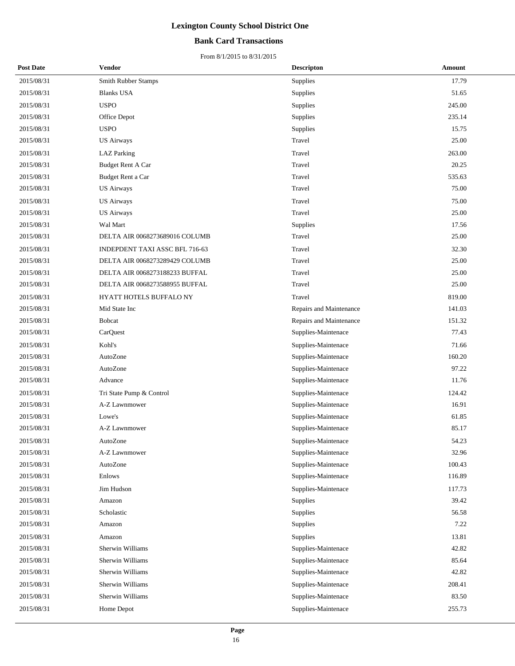### **Bank Card Transactions**

| <b>Post Date</b> | Vendor                         | <b>Descripton</b>       | Amount |
|------------------|--------------------------------|-------------------------|--------|
| 2015/08/31       | <b>Smith Rubber Stamps</b>     | Supplies                | 17.79  |
| 2015/08/31       | <b>Blanks USA</b>              | Supplies                | 51.65  |
| 2015/08/31       | <b>USPO</b>                    | Supplies                | 245.00 |
| 2015/08/31       | Office Depot                   | Supplies                | 235.14 |
| 2015/08/31       | <b>USPO</b>                    | Supplies                | 15.75  |
| 2015/08/31       | <b>US Airways</b>              | Travel                  | 25.00  |
| 2015/08/31       | <b>LAZ</b> Parking             | Travel                  | 263.00 |
| 2015/08/31       | <b>Budget Rent A Car</b>       | Travel                  | 20.25  |
| 2015/08/31       | Budget Rent a Car              | Travel                  | 535.63 |
| 2015/08/31       | <b>US Airways</b>              | Travel                  | 75.00  |
| 2015/08/31       | <b>US Airways</b>              | Travel                  | 75.00  |
| 2015/08/31       | <b>US Airways</b>              | Travel                  | 25.00  |
| 2015/08/31       | Wal Mart                       | Supplies                | 17.56  |
| 2015/08/31       | DELTA AIR 0068273689016 COLUMB | Travel                  | 25.00  |
| 2015/08/31       | INDEPDENT TAXI ASSC BFL 716-63 | Travel                  | 32.30  |
| 2015/08/31       | DELTA AIR 0068273289429 COLUMB | Travel                  | 25.00  |
| 2015/08/31       | DELTA AIR 0068273188233 BUFFAL | Travel                  | 25.00  |
| 2015/08/31       | DELTA AIR 0068273588955 BUFFAL | Travel                  | 25.00  |
| 2015/08/31       | HYATT HOTELS BUFFALO NY        | Travel                  | 819.00 |
| 2015/08/31       | Mid State Inc                  | Repairs and Maintenance | 141.03 |
| 2015/08/31       | Bobcat                         | Repairs and Maintenance | 151.32 |
| 2015/08/31       | CarQuest                       | Supplies-Maintenace     | 77.43  |
| 2015/08/31       | Kohl's                         | Supplies-Maintenace     | 71.66  |
| 2015/08/31       | AutoZone                       | Supplies-Maintenace     | 160.20 |
| 2015/08/31       | AutoZone                       | Supplies-Maintenace     | 97.22  |
| 2015/08/31       | Advance                        | Supplies-Maintenace     | 11.76  |
| 2015/08/31       | Tri State Pump & Control       | Supplies-Maintenace     | 124.42 |
| 2015/08/31       | A-Z Lawnmower                  | Supplies-Maintenace     | 16.91  |
| 2015/08/31       | Lowe's                         | Supplies-Maintenace     | 61.85  |
| 2015/08/31       | A-Z Lawnmower                  | Supplies-Maintenace     | 85.17  |
| 2015/08/31       | AutoZone                       | Supplies-Maintenace     | 54.23  |
| 2015/08/31       | A-Z Lawnmower                  | Supplies-Maintenace     | 32.96  |
| 2015/08/31       | AutoZone                       | Supplies-Maintenace     | 100.43 |
| 2015/08/31       | Enlows                         | Supplies-Maintenace     | 116.89 |
| 2015/08/31       | Jim Hudson                     | Supplies-Maintenace     | 117.73 |
| 2015/08/31       | Amazon                         | Supplies                | 39.42  |
| 2015/08/31       | Scholastic                     | Supplies                | 56.58  |
| 2015/08/31       | Amazon                         | Supplies                | 7.22   |
| 2015/08/31       | Amazon                         | Supplies                | 13.81  |
| 2015/08/31       | Sherwin Williams               | Supplies-Maintenace     | 42.82  |
| 2015/08/31       | Sherwin Williams               | Supplies-Maintenace     | 85.64  |
| 2015/08/31       | Sherwin Williams               | Supplies-Maintenace     | 42.82  |
| 2015/08/31       | Sherwin Williams               | Supplies-Maintenace     | 208.41 |
| 2015/08/31       | Sherwin Williams               | Supplies-Maintenace     | 83.50  |
| 2015/08/31       | Home Depot                     | Supplies-Maintenace     | 255.73 |
|                  |                                |                         |        |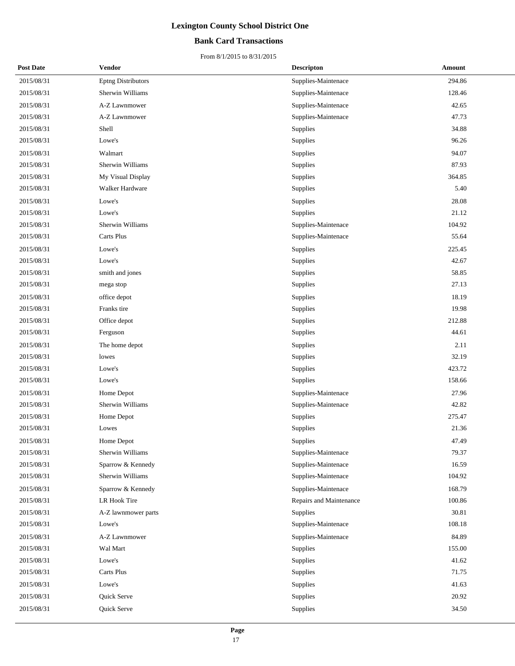### **Bank Card Transactions**

| <b>Post Date</b> | Vendor              | <b>Descripton</b>       | Amount |  |
|------------------|---------------------|-------------------------|--------|--|
| 2015/08/31       | Eptng Distributors  | Supplies-Maintenace     | 294.86 |  |
| 2015/08/31       | Sherwin Williams    | Supplies-Maintenace     | 128.46 |  |
| 2015/08/31       | A-Z Lawnmower       | Supplies-Maintenace     | 42.65  |  |
| 2015/08/31       | A-Z Lawnmower       | Supplies-Maintenace     | 47.73  |  |
| 2015/08/31       | Shell               | Supplies                | 34.88  |  |
| 2015/08/31       | Lowe's              | Supplies                | 96.26  |  |
| 2015/08/31       | Walmart             | Supplies                | 94.07  |  |
| 2015/08/31       | Sherwin Williams    | Supplies                | 87.93  |  |
| 2015/08/31       | My Visual Display   | Supplies                | 364.85 |  |
| 2015/08/31       | Walker Hardware     | Supplies                | 5.40   |  |
| 2015/08/31       | Lowe's              | Supplies                | 28.08  |  |
| 2015/08/31       | Lowe's              | Supplies                | 21.12  |  |
| 2015/08/31       | Sherwin Williams    | Supplies-Maintenace     | 104.92 |  |
| 2015/08/31       | Carts Plus          | Supplies-Maintenace     | 55.64  |  |
| 2015/08/31       | Lowe's              | Supplies                | 225.45 |  |
| 2015/08/31       | Lowe's              | Supplies                | 42.67  |  |
| 2015/08/31       | smith and jones     | Supplies                | 58.85  |  |
| 2015/08/31       | mega stop           | Supplies                | 27.13  |  |
| 2015/08/31       | office depot        | Supplies                | 18.19  |  |
| 2015/08/31       | Franks tire         | Supplies                | 19.98  |  |
| 2015/08/31       | Office depot        | Supplies                | 212.88 |  |
| 2015/08/31       | Ferguson            | Supplies                | 44.61  |  |
| 2015/08/31       | The home depot      | Supplies                | 2.11   |  |
| 2015/08/31       | lowes               | Supplies                | 32.19  |  |
| 2015/08/31       | Lowe's              | Supplies                | 423.72 |  |
| 2015/08/31       | Lowe's              | Supplies                | 158.66 |  |
| 2015/08/31       | Home Depot          | Supplies-Maintenace     | 27.96  |  |
| 2015/08/31       | Sherwin Williams    | Supplies-Maintenace     | 42.82  |  |
| 2015/08/31       | Home Depot          | Supplies                | 275.47 |  |
| 2015/08/31       | Lowes               | Supplies                | 21.36  |  |
| 2015/08/31       | Home Depot          | Supplies                | 47.49  |  |
| 2015/08/31       | Sherwin Williams    | Supplies-Maintenace     | 79.37  |  |
| 2015/08/31       | Sparrow & Kennedy   | Supplies-Maintenace     | 16.59  |  |
| 2015/08/31       | Sherwin Williams    | Supplies-Maintenace     | 104.92 |  |
| 2015/08/31       | Sparrow & Kennedy   | Supplies-Maintenace     | 168.79 |  |
| 2015/08/31       | LR Hook Tire        | Repairs and Maintenance | 100.86 |  |
| 2015/08/31       | A-Z lawnmower parts | Supplies                | 30.81  |  |
| 2015/08/31       | Lowe's              | Supplies-Maintenace     | 108.18 |  |
| 2015/08/31       | A-Z Lawnmower       | Supplies-Maintenace     | 84.89  |  |
| 2015/08/31       | Wal Mart            | Supplies                | 155.00 |  |
| 2015/08/31       | Lowe's              | Supplies                | 41.62  |  |
| 2015/08/31       | Carts Plus          | Supplies                | 71.75  |  |
| 2015/08/31       | Lowe's              | Supplies                | 41.63  |  |
| 2015/08/31       | Quick Serve         | Supplies                | 20.92  |  |
| 2015/08/31       | Quick Serve         | Supplies                | 34.50  |  |
|                  |                     |                         |        |  |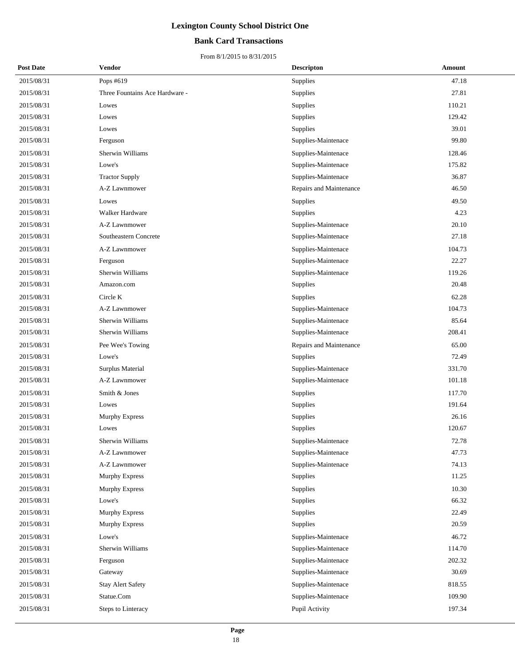### **Bank Card Transactions**

| <b>Post Date</b> | Vendor                         | <b>Descripton</b>       | Amount |
|------------------|--------------------------------|-------------------------|--------|
| 2015/08/31       | Pops #619                      | Supplies                | 47.18  |
| 2015/08/31       | Three Fountains Ace Hardware - | Supplies                | 27.81  |
| 2015/08/31       | Lowes                          | Supplies                | 110.21 |
| 2015/08/31       | Lowes                          | Supplies                | 129.42 |
| 2015/08/31       | Lowes                          | Supplies                | 39.01  |
| 2015/08/31       | Ferguson                       | Supplies-Maintenace     | 99.80  |
| 2015/08/31       | Sherwin Williams               | Supplies-Maintenace     | 128.46 |
| 2015/08/31       | Lowe's                         | Supplies-Maintenace     | 175.82 |
| 2015/08/31       | <b>Tractor Supply</b>          | Supplies-Maintenace     | 36.87  |
| 2015/08/31       | A-Z Lawnmower                  | Repairs and Maintenance | 46.50  |
| 2015/08/31       | Lowes                          | Supplies                | 49.50  |
| 2015/08/31       | Walker Hardware                | Supplies                | 4.23   |
| 2015/08/31       | A-Z Lawnmower                  | Supplies-Maintenace     | 20.10  |
| 2015/08/31       | Southeastern Concrete          | Supplies-Maintenace     | 27.18  |
| 2015/08/31       | A-Z Lawnmower                  | Supplies-Maintenace     | 104.73 |
| 2015/08/31       | Ferguson                       | Supplies-Maintenace     | 22.27  |
| 2015/08/31       | <b>Sherwin Williams</b>        | Supplies-Maintenace     | 119.26 |
| 2015/08/31       | Amazon.com                     | Supplies                | 20.48  |
| 2015/08/31       | Circle K                       | Supplies                | 62.28  |
| 2015/08/31       | A-Z Lawnmower                  | Supplies-Maintenace     | 104.73 |
| 2015/08/31       | Sherwin Williams               | Supplies-Maintenace     | 85.64  |
| 2015/08/31       | Sherwin Williams               | Supplies-Maintenace     | 208.41 |
| 2015/08/31       | Pee Wee's Towing               | Repairs and Maintenance | 65.00  |
| 2015/08/31       | Lowe's                         | Supplies                | 72.49  |
| 2015/08/31       | Surplus Material               | Supplies-Maintenace     | 331.70 |
| 2015/08/31       | A-Z Lawnmower                  | Supplies-Maintenace     | 101.18 |
| 2015/08/31       | Smith & Jones                  | Supplies                | 117.70 |
| 2015/08/31       | Lowes                          | Supplies                | 191.64 |
| 2015/08/31       | Murphy Express                 | Supplies                | 26.16  |
| 2015/08/31       | Lowes                          | Supplies                | 120.67 |
| 2015/08/31       | Sherwin Williams               | Supplies-Maintenace     | 72.78  |
| 2015/08/31       | A-Z Lawnmower                  | Supplies-Maintenace     | 47.73  |
| 2015/08/31       | A-Z Lawnmower                  | Supplies-Maintenace     | 74.13  |
| 2015/08/31       | Murphy Express                 | Supplies                | 11.25  |
| 2015/08/31       | <b>Murphy Express</b>          | Supplies                | 10.30  |
| 2015/08/31       | Lowe's                         | Supplies                | 66.32  |
| 2015/08/31       | Murphy Express                 | Supplies                | 22.49  |
| 2015/08/31       | Murphy Express                 | Supplies                | 20.59  |
| 2015/08/31       | Lowe's                         | Supplies-Maintenace     | 46.72  |
| 2015/08/31       | Sherwin Williams               | Supplies-Maintenace     | 114.70 |
| 2015/08/31       | Ferguson                       | Supplies-Maintenace     | 202.32 |
| 2015/08/31       | Gateway                        | Supplies-Maintenace     | 30.69  |
| 2015/08/31       | <b>Stay Alert Safety</b>       | Supplies-Maintenace     | 818.55 |
| 2015/08/31       | Statue.Com                     | Supplies-Maintenace     | 109.90 |
| 2015/08/31       | Steps to Linteracy             | Pupil Activity          | 197.34 |
|                  |                                |                         |        |